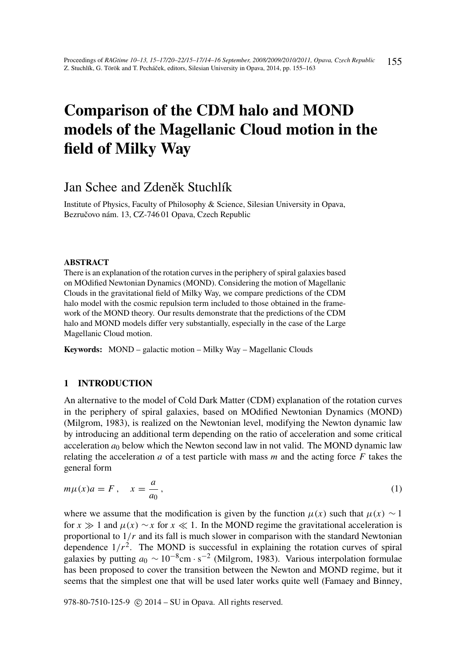# Comparison of the CDM halo and MOND models of the Magellanic Cloud motion in the field of Milky Way

# Jan Schee and Zdeněk Stuchlík

Institute of Physics, Faculty of Philosophy & Science, Silesian University in Opava, Bezručovo nám. 13, CZ-746 01 Opava, Czech Republic

#### ABSTRACT

There is an explanation of the rotation curves in the periphery of spiral galaxies based on MOdified Newtonian Dynamics (MOND). Considering the motion of Magellanic Clouds in the gravitational field of Milky Way, we compare predictions of the CDM halo model with the cosmic repulsion term included to those obtained in the framework of the MOND theory. Our results demonstrate that the predictions of the CDM halo and MOND models differ very substantially, especially in the case of the Large Magellanic Cloud motion.

Keywords: MOND – galactic motion – Milky Way – Magellanic Clouds

#### 1 INTRODUCTION

An alternative to the model of Cold Dark Matter (CDM) explanation of the rotation curves in the periphery of spiral galaxies, based on MOdified Newtonian Dynamics (MOND) (Milgrom, 1983), is realized on the Newtonian level, modifying the Newton dynamic law by introducing an additional term depending on the ratio of acceleration and some critical acceleration  $a_0$  below which the Newton second law in not valid. The MOND dynamic law relating the acceleration *a* of a test particle with mass *m* and the acting force *F* takes the general form

$$
m\mu(x)a = F, \quad x = \frac{a}{a_0},\tag{1}
$$

where we assume that the modification is given by the function  $\mu(x)$  such that  $\mu(x) \sim 1$ for *x*  $\gg$  1 and  $\mu(x) \sim x$  for *x*  $\ll$  1. In the MOND regime the gravitational acceleration is proportional to 1/*r* and its fall is much slower in comparison with the standard Newtonian dependence  $1/r^2$ . The MOND is successful in explaining the rotation curves of spiral galaxies by putting  $a_0 \sim 10^{-8}$ cm · s<sup>-2</sup> (Milgrom, 1983). Various interpolation formulae has been proposed to cover the transition between the Newton and MOND regime, but it seems that the simplest one that will be used later works quite well (Famaey and Binney,

978-80-7510-125-9 © 2014 – SU in Opava. All rights reserved.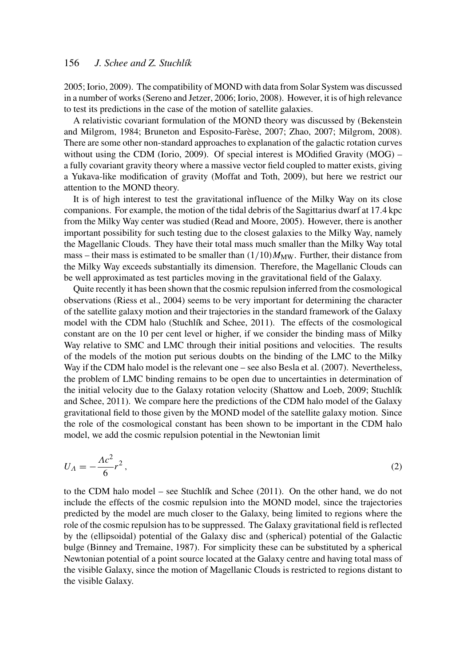# 156 *J. Schee and Z. Stuchlík*

2005; Iorio, 2009). The compatibility of MOND with data from Solar System was discussed in a number of works (Sereno and Jetzer, 2006; Iorio, 2008). However, it is of high relevance to test its predictions in the case of the motion of satellite galaxies.

A relativistic covariant formulation of the MOND theory was discussed by (Bekenstein and Milgrom, 1984; Bruneton and Esposito-Farese, 2007; Zhao, 2007; Milgrom, 2008). ` There are some other non-standard approaches to explanation of the galactic rotation curves without using the CDM (Iorio, 2009). Of special interest is MOdified Gravity (MOG) – a fully covariant gravity theory where a massive vector field coupled to matter exists, giving a Yukava-like modification of gravity (Moffat and Toth, 2009), but here we restrict our attention to the MOND theory.

It is of high interest to test the gravitational influence of the Milky Way on its close companions. For example, the motion of the tidal debris of the Sagittarius dwarf at 17.4 kpc from the Milky Way center was studied (Read and Moore, 2005). However, there is another important possibility for such testing due to the closest galaxies to the Milky Way, namely the Magellanic Clouds. They have their total mass much smaller than the Milky Way total mass – their mass is estimated to be smaller than  $(1/10)M_{\text{MW}}$ . Further, their distance from the Milky Way exceeds substantially its dimension. Therefore, the Magellanic Clouds can be well approximated as test particles moving in the gravitational field of the Galaxy.

Quite recently it has been shown that the cosmic repulsion inferred from the cosmological observations (Riess et al., 2004) seems to be very important for determining the character of the satellite galaxy motion and their trajectories in the standard framework of the Galaxy model with the CDM halo (Stuchlík and Schee, 2011). The effects of the cosmological constant are on the 10 per cent level or higher, if we consider the binding mass of Milky Way relative to SMC and LMC through their initial positions and velocities. The results of the models of the motion put serious doubts on the binding of the LMC to the Milky Way if the CDM halo model is the relevant one – see also Besla et al. (2007). Nevertheless, the problem of LMC binding remains to be open due to uncertainties in determination of the initial velocity due to the Galaxy rotation velocity (Shattow and Loeb, 2009; Stuchlík and Schee, 2011). We compare here the predictions of the CDM halo model of the Galaxy gravitational field to those given by the MOND model of the satellite galaxy motion. Since the role of the cosmological constant has been shown to be important in the CDM halo model, we add the cosmic repulsion potential in the Newtonian limit

$$
U_A = -\frac{\Lambda c^2}{6}r^2,\tag{2}
$$

to the CDM halo model – see Stuchlík and Schee (2011). On the other hand, we do not include the effects of the cosmic repulsion into the MOND model, since the trajectories predicted by the model are much closer to the Galaxy, being limited to regions where the role of the cosmic repulsion has to be suppressed. The Galaxy gravitational field is reflected by the (ellipsoidal) potential of the Galaxy disc and (spherical) potential of the Galactic bulge (Binney and Tremaine, 1987). For simplicity these can be substituted by a spherical Newtonian potential of a point source located at the Galaxy centre and having total mass of the visible Galaxy, since the motion of Magellanic Clouds is restricted to regions distant to the visible Galaxy.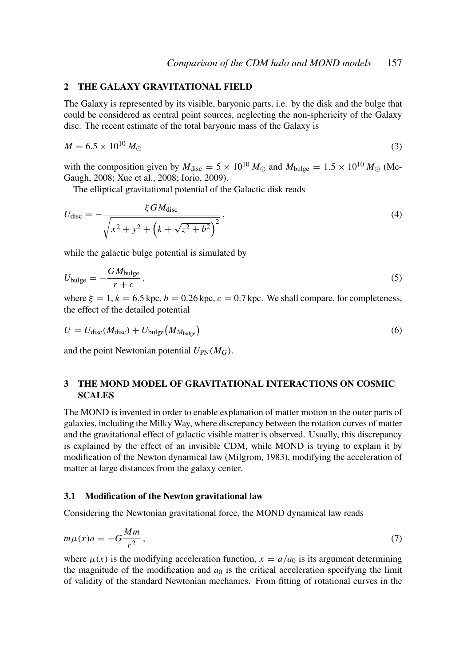#### 2 THE GALAXY GRAVITATIONAL FIELD

The Galaxy is represented by its visible, baryonic parts, i.e. by the disk and the bulge that could be considered as central point sources, neglecting the non-sphericity of the Galaxy disc. The recent estimate of the total baryonic mass of the Galaxy is

$$
M = 6.5 \times 10^{10} M_{\odot} \tag{3}
$$

with the composition given by  $M_{\text{disc}} = 5 \times 10^{10} M_{\odot}$  and  $M_{\text{bulge}} = 1.5 \times 10^{10} M_{\odot}$  (Mc-Gaugh, 2008; Xue et al., 2008; Iorio, 2009).

The elliptical gravitational potential of the Galactic disk reads

$$
U_{\text{disc}} = -\frac{\xi G M_{\text{disc}}}{\sqrt{x^2 + y^2 + \left(k + \sqrt{z^2 + b^2}\right)^2}},\tag{4}
$$

while the galactic bulge potential is simulated by

$$
U_{\text{bulge}} = -\frac{GM_{\text{bulge}}}{r+c},\tag{5}
$$

where  $\xi = 1$ ,  $k = 6.5$  kpc,  $b = 0.26$  kpc,  $c = 0.7$  kpc. We shall compare, for completeness, the effect of the detailed potential

$$
U = U_{\text{disc}}(M_{\text{disc}}) + U_{\text{bulge}}(M_{M_{\text{bulge}}})
$$
\n(6)

and the point Newtonian potential  $U_{PN}(M_G)$ .

# 3 THE MOND MODEL OF GRAVITATIONAL INTERACTIONS ON COSMIC **SCALES**

The MOND is invented in order to enable explanation of matter motion in the outer parts of galaxies, including the Milky Way, where discrepancy between the rotation curves of matter and the gravitational effect of galactic visible matter is observed. Usually, this discrepancy is explained by the effect of an invisible CDM, while MOND is trying to explain it by modification of the Newton dynamical law (Milgrom, 1983), modifying the acceleration of matter at large distances from the galaxy center.

#### 3.1 Modification of the Newton gravitational law

Considering the Newtonian gravitational force, the MOND dynamical law reads

$$
m\mu(x)a = -G\frac{Mm}{r^2},\tag{7}
$$

where  $\mu(x)$  is the modifying acceleration function,  $x = a/a_0$  is its argument determining the magnitude of the modification and  $a_0$  is the critical acceleration specifying the limit of validity of the standard Newtonian mechanics. From fitting of rotational curves in the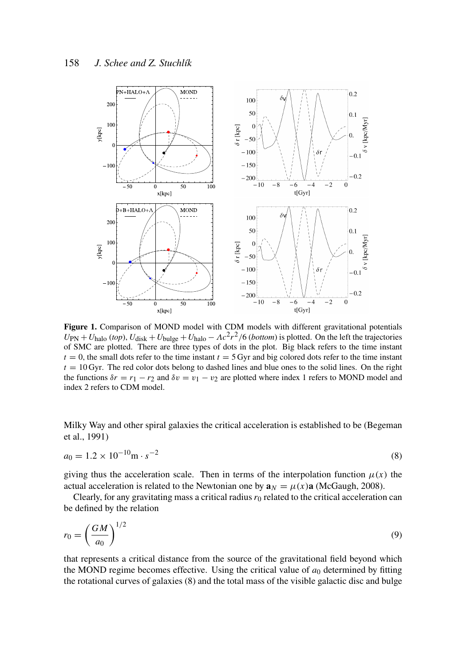

Figure 1. Comparison of MOND model with CDM models with different gravitational potentials  $U_{\text{PN}} + U_{\text{halo}} (top)$ ,  $U_{\text{disk}} + U_{\text{bulge}} + U_{\text{halo}} - Ac^2 r^2/6$  (*bottom*) is plotted. On the left the trajectories of SMC are plotted. There are three types of dots in the plot. Big black refers to the time instant  $t = 0$ , the small dots refer to the time instant  $t = 5$  Gyr and big colored dots refer to the time instant  $t = 10$  Gyr. The red color dots belong to dashed lines and blue ones to the solid lines. On the right the functions  $\delta r = r_1 - r_2$  and  $\delta v = v_1 - v_2$  are plotted where index 1 refers to MOND model and index 2 refers to CDM model.

Milky Way and other spiral galaxies the critical acceleration is established to be (Begeman et al., 1991)

$$
a_0 = 1.2 \times 10^{-10} \text{m} \cdot s^{-2}
$$
 (8)

giving thus the acceleration scale. Then in terms of the interpolation function  $\mu(x)$  the actual acceleration is related to the Newtonian one by  $\mathbf{a}_N = \mu(x)\mathbf{a}$  (McGaugh, 2008).

Clearly, for any gravitating mass a critical radius  $r_0$  related to the critical acceleration can be defined by the relation

$$
r_0 = \left(\frac{GM}{a_0}\right)^{1/2} \tag{9}
$$

that represents a critical distance from the source of the gravitational field beyond which the MOND regime becomes effective. Using the critical value of  $a_0$  determined by fitting the rotational curves of galaxies (8) and the total mass of the visible galactic disc and bulge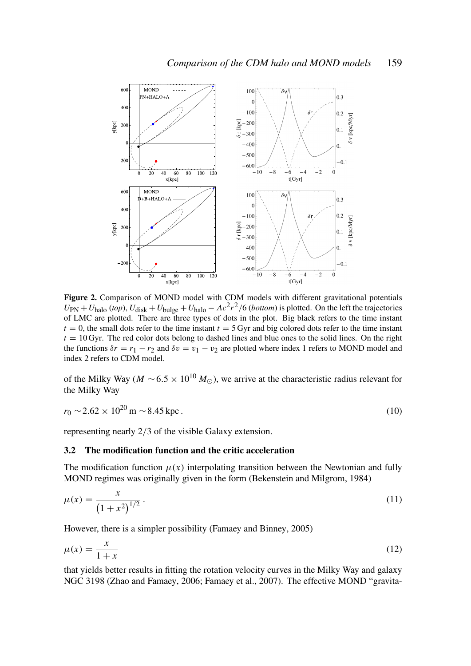

Figure 2. Comparison of MOND model with CDM models with different gravitational potentials  $U_{\text{PN}} + U_{\text{halo}} (top)$ ,  $U_{\text{disk}} + U_{\text{bulge}} + U_{\text{halo}} - Ac^2 r^2/6$  (*bottom*) is plotted. On the left the trajectories of LMC are plotted. There are three types of dots in the plot. Big black refers to the time instant  $t = 0$ , the small dots refer to the time instant  $t = 5$  Gyr and big colored dots refer to the time instant  $t = 10$  Gyr. The red color dots belong to dashed lines and blue ones to the solid lines. On the right the functions  $\delta r = r_1 - r_2$  and  $\delta v = v_1 - v_2$  are plotted where index 1 refers to MOND model and index 2 refers to CDM model.

of the Milky Way ( $M \sim 6.5 \times 10^{10} M_{\odot}$ ), we arrive at the characteristic radius relevant for the Milky Way

$$
r_0 \sim 2.62 \times 10^{20} \,\mathrm{m} \sim 8.45 \,\mathrm{kpc} \,. \tag{10}
$$

representing nearly 2/3 of the visible Galaxy extension.

#### 3.2 The modification function and the critic acceleration

The modification function  $\mu(x)$  interpolating transition between the Newtonian and fully MOND regimes was originally given in the form (Bekenstein and Milgrom, 1984)

$$
\mu(x) = \frac{x}{\left(1 + x^2\right)^{1/2}}\,. \tag{11}
$$

However, there is a simpler possibility (Famaey and Binney, 2005)

$$
\mu(x) = \frac{x}{1+x} \tag{12}
$$

that yields better results in fitting the rotation velocity curves in the Milky Way and galaxy NGC 3198 (Zhao and Famaey, 2006; Famaey et al., 2007). The effective MOND "gravita-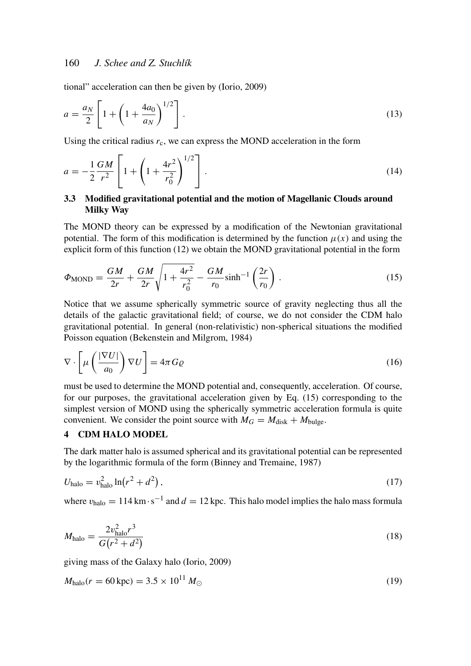# 160 *J. Schee and Z. Stuchlík*

tional" acceleration can then be given by (Iorio, 2009)

$$
a = \frac{a_N}{2} \left[ 1 + \left( 1 + \frac{4a_0}{a_N} \right)^{1/2} \right].
$$
 (13)

Using the critical radius  $r_c$ , we can express the MOND acceleration in the form

$$
a = -\frac{1}{2} \frac{GM}{r^2} \left[ 1 + \left( 1 + \frac{4r^2}{r_0^2} \right)^{1/2} \right].
$$
 (14)

## 3.3 Modified gravitational potential and the motion of Magellanic Clouds around Milky Way

The MOND theory can be expressed by a modification of the Newtonian gravitational potential. The form of this modification is determined by the function  $\mu(x)$  and using the explicit form of this function (12) we obtain the MOND gravitational potential in the form

$$
\Phi_{\text{MOND}} = \frac{GM}{2r} + \frac{GM}{2r} \sqrt{1 + \frac{4r^2}{r_0^2}} - \frac{GM}{r_0} \sinh^{-1} \left(\frac{2r}{r_0}\right). \tag{15}
$$

Notice that we assume spherically symmetric source of gravity neglecting thus all the details of the galactic gravitational field; of course, we do not consider the CDM halo gravitational potential. In general (non-relativistic) non-spherical situations the modified Poisson equation (Bekenstein and Milgrom, 1984)

$$
\nabla \cdot \left[ \mu \left( \frac{|\nabla U|}{a_0} \right) \nabla U \right] = 4\pi G \varrho \tag{16}
$$

must be used to determine the MOND potential and, consequently, acceleration. Of course, for our purposes, the gravitational acceleration given by Eq. (15) corresponding to the simplest version of MOND using the spherically symmetric acceleration formula is quite convenient. We consider the point source with  $M_G = M_{disk} + M_{bulge}$ .

# 4 CDM HALO MODEL

The dark matter halo is assumed spherical and its gravitational potential can be represented by the logarithmic formula of the form (Binney and Tremaine, 1987)

$$
U_{\text{halo}} = v_{\text{halo}}^2 \ln(r^2 + d^2),\tag{17}
$$

where  $v_{\text{halo}} = 114 \text{ km} \cdot \text{s}^{-1}$  and  $d = 12 \text{ kpc}$ . This halo model implies the halo mass formula

$$
M_{\rm halo} = \frac{2v_{\rm halo}^2 r^3}{G(r^2 + d^2)}
$$
 (18)

giving mass of the Galaxy halo (Iorio, 2009)

$$
M_{\text{halo}}(r = 60 \,\text{kpc}) = 3.5 \times 10^{11} \, M_{\odot} \tag{19}
$$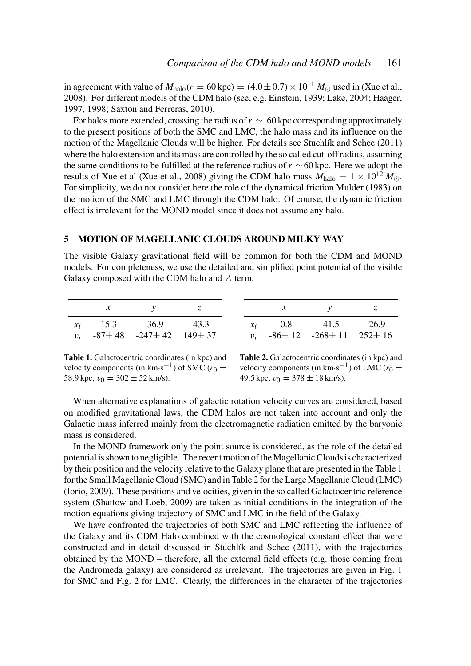in agreement with value of  $M_{\text{halo}}(r = 60 \text{ kpc}) = (4.0 \pm 0.7) \times 10^{11} M_{\odot}$  used in (Xue et al., 2008). For different models of the CDM halo (see, e.g. Einstein, 1939; Lake, 2004; Haager, 1997, 1998; Saxton and Ferreras, 2010).

For halos more extended, crossing the radius of*r* ∼ 60 kpc corresponding approximately to the present positions of both the SMC and LMC, the halo mass and its influence on the motion of the Magellanic Clouds will be higher. For details see Stuchlík and Schee (2011) where the halo extension and its mass are controlled by the so called cut-off radius, assuming the same conditions to be fulfilled at the reference radius of *r* ∼60 kpc. Here we adopt the results of Xue et al (Xue et al., 2008) giving the CDM halo mass  $M_{halo} = 1 \times 10^{12} M_{\odot}$ . For simplicity, we do not consider here the role of the dynamical friction Mulder (1983) on the motion of the SMC and LMC through the CDM halo. Of course, the dynamic friction effect is irrelevant for the MOND model since it does not assume any halo.

#### 5 MOTION OF MAGELLANIC CLOUDS AROUND MILKY WAY

The visible Galaxy gravitational field will be common for both the CDM and MOND models. For completeness, we use the detailed and simplified point potential of the visible Galaxy composed with the CDM halo and  $\Lambda$  term.

|  | $x \qquad \qquad y \qquad \qquad z$                                     |  |  | $x \qquad y \qquad z$                                       |  |
|--|-------------------------------------------------------------------------|--|--|-------------------------------------------------------------|--|
|  | $x_i$ 15.3 -36.9 -43.3<br>$v_i$ -87 $\pm$ 48 -247 $\pm$ 42 149 $\pm$ 37 |  |  | $x_i$ -0.8 -41.5 -26.9<br>$v_i$ -86 ± 12 -268 ± 11 252 ± 16 |  |

Table 1. Galactocentric coordinates (in kpc) and velocity components (in  $km·s^{-1}$ ) of SMC ( $r_0 =$ 58.9 kpc,  $v_0 = 302 \pm 52$  km/s).

Table 2. Galactocentric coordinates (in kpc) and velocity components (in  $km·s^{-1}$ ) of LMC ( $r_0 =$ 49.5 kpc,  $v_0 = 378 \pm 18$  km/s).

When alternative explanations of galactic rotation velocity curves are considered, based on modified gravitational laws, the CDM halos are not taken into account and only the Galactic mass inferred mainly from the electromagnetic radiation emitted by the baryonic mass is considered.

In the MOND framework only the point source is considered, as the role of the detailed potential is shown to negligible. The recent motion of the Magellanic Clouds is characterized by their position and the velocity relative to the Galaxy plane that are presented in the Table 1 for the Small Magellanic Cloud (SMC) and in Table 2 for the Large Magellanic Cloud (LMC) (Iorio, 2009). These positions and velocities, given in the so called Galactocentric reference system (Shattow and Loeb, 2009) are taken as initial conditions in the integration of the motion equations giving trajectory of SMC and LMC in the field of the Galaxy.

We have confronted the trajectories of both SMC and LMC reflecting the influence of the Galaxy and its CDM Halo combined with the cosmological constant effect that were constructed and in detail discussed in Stuchlík and Schee (2011), with the trajectories obtained by the MOND – therefore, all the external field effects (e.g. those coming from the Andromeda galaxy) are considered as irrelevant. The trajectories are given in Fig. 1 for SMC and Fig. 2 for LMC. Clearly, the differences in the character of the trajectories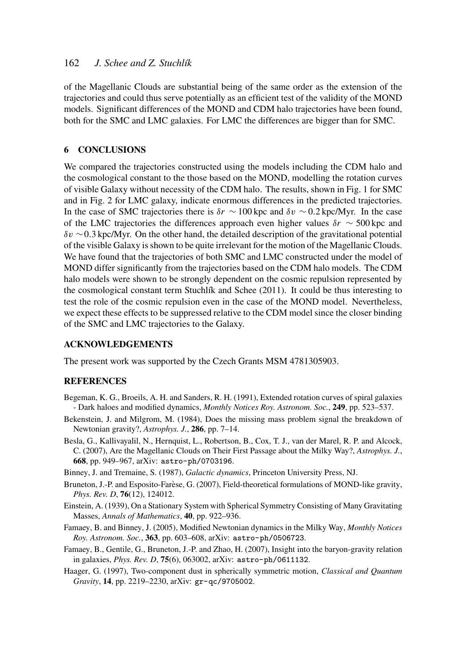# 162 *J. Schee and Z. Stuchlík*

of the Magellanic Clouds are substantial being of the same order as the extension of the trajectories and could thus serve potentially as an efficient test of the validity of the MOND models. Significant differences of the MOND and CDM halo trajectories have been found, both for the SMC and LMC galaxies. For LMC the differences are bigger than for SMC.

# 6 CONCLUSIONS

We compared the trajectories constructed using the models including the CDM halo and the cosmological constant to the those based on the MOND, modelling the rotation curves of visible Galaxy without necessity of the CDM halo. The results, shown in Fig. 1 for SMC and in Fig. 2 for LMC galaxy, indicate enormous differences in the predicted trajectories. In the case of SMC trajectories there is  $\delta r \sim 100$  kpc and  $\delta v \sim 0.2$  kpc/Myr. In the case of the LMC trajectories the differences approach even higher values δ*r* ∼ 500 kpc and δv ∼0.3 kpc/Myr. On the other hand, the detailed description of the gravitational potential of the visible Galaxy is shown to be quite irrelevant for the motion of the Magellanic Clouds. We have found that the trajectories of both SMC and LMC constructed under the model of MOND differ significantly from the trajectories based on the CDM halo models. The CDM halo models were shown to be strongly dependent on the cosmic repulsion represented by the cosmological constant term Stuchlík and Schee (2011). It could be thus interesting to test the role of the cosmic repulsion even in the case of the MOND model. Nevertheless, we expect these effects to be suppressed relative to the CDM model since the closer binding of the SMC and LMC trajectories to the Galaxy.

#### ACKNOWLEDGEMENTS

The present work was supported by the Czech Grants MSM 4781305903.

# **REFERENCES**

- Begeman, K. G., Broeils, A. H. and Sanders, R. H. (1991), Extended rotation curves of spiral galaxies - Dark haloes and modified dynamics, *Monthly Notices Roy. Astronom. Soc.*, 249, pp. 523–537.
- Bekenstein, J. and Milgrom, M. (1984), Does the missing mass problem signal the breakdown of Newtonian gravity?, *Astrophys. J.*, 286, pp. 7–14.
- Besla, G., Kallivayalil, N., Hernquist, L., Robertson, B., Cox, T. J., van der Marel, R. P. and Alcock, C. (2007), Are the Magellanic Clouds on Their First Passage about the Milky Way?, *Astrophys. J.*, 668, pp. 949–967, arXiv: astro-ph/0703196.
- Binney, J. and Tremaine, S. (1987), *Galactic dynamics*, Princeton University Press, NJ.
- Bruneton, J.-P. and Esposito-Farese, G. (2007), Field-theoretical formulations of MOND-like gravity, ` *Phys. Rev. D*, 76(12), 124012.
- Einstein, A. (1939), On a Stationary System with Spherical Symmetry Consisting of Many Gravitating Masses, *Annals of Mathematics*, 40, pp. 922–936.
- Famaey, B. and Binney, J. (2005), Modified Newtonian dynamics in the Milky Way, *Monthly Notices Roy. Astronom. Soc.*, 363, pp. 603–608, arXiv: astro-ph/0506723.
- Famaey, B., Gentile, G., Bruneton, J.-P. and Zhao, H. (2007), Insight into the baryon-gravity relation in galaxies, *Phys. Rev. D*, 75(6), 063002, arXiv: astro-ph/0611132.
- Haager, G. (1997), Two-component dust in spherically symmetric motion, *Classical and Quantum Gravity*, 14, pp. 2219–2230, arXiv: gr-qc/9705002.